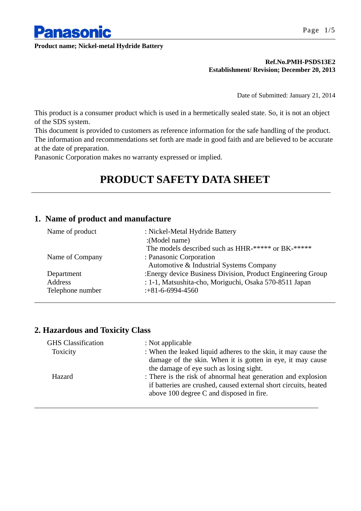

#### **Ref.No.PMH-PSDS13E2 Establishment/ Revision; December 20, 2013**

Date of Submitted: January 21, 2014

This product is a consumer product which is used in a hermetically sealed state. So, it is not an object of the SDS system.

This document is provided to customers as reference information for the safe handling of the product. The information and recommendations set forth are made in good faith and are believed to be accurate at the date of preparation.

Panasonic Corporation makes no warranty expressed or implied.

# **PRODUCT SAFETY DATA SHEET**

## **1. Name of product and manufacture**

| :Energy device Business Division, Product Engineering Group |
|-------------------------------------------------------------|
|                                                             |
|                                                             |
|                                                             |

## **2. Hazardous and Toxicity Class**

| <b>GHS</b> Classification | : Not applicable                                                 |
|---------------------------|------------------------------------------------------------------|
| Toxicity                  | : When the leaked liquid adheres to the skin, it may cause the   |
|                           | damage of the skin. When it is gotten in eye, it may cause       |
|                           | the damage of eye such as losing sight.                          |
| Hazard                    | : There is the risk of abnormal heat generation and explosion    |
|                           | if batteries are crushed, caused external short circuits, heated |
|                           | above 100 degree C and disposed in fire.                         |
|                           |                                                                  |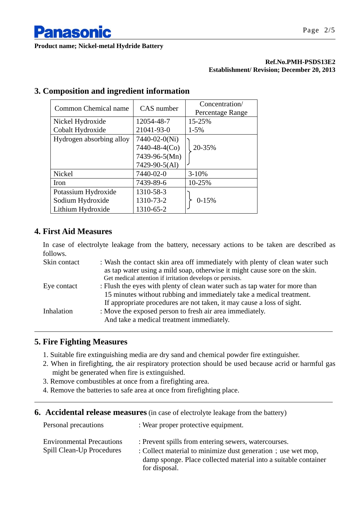

#### **Ref.No.PMH-PSDS13E2 Establishment/ Revision; December 20, 2013**

| Common Chemical name     | CAS number    | Concentration/<br>Percentage Range |
|--------------------------|---------------|------------------------------------|
| Nickel Hydroxide         | 12054-48-7    | 15-25%                             |
| Cobalt Hydroxide         | 21041-93-0    | $1 - 5\%$                          |
| Hydrogen absorbing alloy | 7440-02-0(Ni) |                                    |
|                          | 7440-48-4(Co) | 20-35%                             |
|                          | 7439-96-5(Mn) |                                    |
|                          | 7429-90-5(Al) |                                    |
| Nickel                   | 7440-02-0     | $3 - 10%$                          |
| Iron                     | 7439-89-6     | 10-25%                             |
| Potassium Hydroxide      | 1310-58-3     |                                    |
| Sodium Hydroxide         | 1310-73-2     | $0-15%$                            |
| Lithium Hydroxide        | 1310-65-2     |                                    |

## **3. Composition and ingredient information**

## **4. First Aid Measures**

In case of electrolyte leakage from the battery, necessary actions to be taken are described as follows.

| Skin contact | : Wash the contact skin area off immediately with plenty of clean water such<br>as tap water using a mild soap, otherwise it might cause sore on the skin.<br>Get medical attention if irritation develops or persists. |
|--------------|-------------------------------------------------------------------------------------------------------------------------------------------------------------------------------------------------------------------------|
| Eye contact  | : Flush the eyes with plenty of clean water such as tap water for more than<br>15 minutes without rubbing and immediately take a medical treatment.                                                                     |
| Inhalation   | If appropriate procedures are not taken, it may cause a loss of sight.<br>: Move the exposed person to fresh air area immediately.<br>And take a medical treatment immediately.                                         |

## **5. Fire Fighting Measures**

- 1. Suitable fire extinguishing media are dry sand and chemical powder fire extinguisher.
- 2. When in firefighting, the air respiratory protection should be used because acrid or harmful gas might be generated when fire is extinguished.
- 3. Remove combustibles at once from a firefighting area.
- 4. Remove the batteries to safe area at once from firefighting place.
- **6.** Accidental release measures (in case of electrolyte leakage from the battery)

| Personal precautions                                          | : Wear proper protective equipment.                                                                                                                                                                      |
|---------------------------------------------------------------|----------------------------------------------------------------------------------------------------------------------------------------------------------------------------------------------------------|
| <b>Environmental Precautions</b><br>Spill Clean-Up Procedures | : Prevent spills from entering sewers, watercourses.<br>: Collect material to minimize dust generation; use wet mop,<br>damp sponge. Place collected material into a suitable container<br>for disposal. |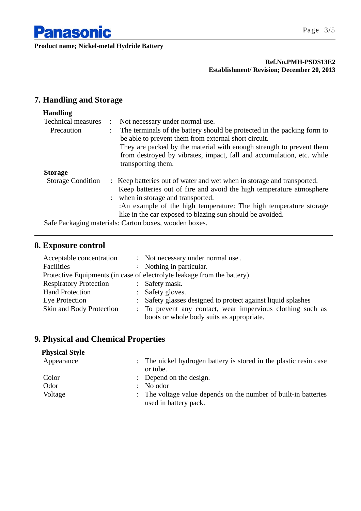

#### **Ref.No.PMH-PSDS13E2 Establishment/ Revision; December 20, 2013**

## **7. Handling and Storage**

## **Handling**

| <b>Technical measures</b> | Not necessary under normal use.                                                                                                                                                                                                                                                                                        |
|---------------------------|------------------------------------------------------------------------------------------------------------------------------------------------------------------------------------------------------------------------------------------------------------------------------------------------------------------------|
| Precaution                | The terminals of the battery should be protected in the packing form to<br>be able to prevent them from external short circuit.<br>They are packed by the material with enough strength to prevent them<br>from destroyed by vibrates, impact, fall and accumulation, etc. while<br>transporting them.                 |
| <b>Storage</b>            |                                                                                                                                                                                                                                                                                                                        |
| <b>Storage Condition</b>  | : Keep batteries out of water and wet when in storage and transported.<br>Keep batteries out of fire and avoid the high temperature atmosphere<br>: when in storage and transported.<br>:An example of the high temperature: The high temperature storage<br>like in the car exposed to blazing sun should be avoided. |

Safe Packaging materials: Carton boxes, wooden boxes.

## **8. Exposure control**

| Acceptable concentration      | : Not necessary under normal use.                                                                       |
|-------------------------------|---------------------------------------------------------------------------------------------------------|
| Facilities                    | Nothing in particular.                                                                                  |
|                               | Protective Equipments (in case of electrolyte leakage from the battery)                                 |
| <b>Respiratory Protection</b> | : Safety mask.                                                                                          |
| <b>Hand Protection</b>        | : Safety gloves.                                                                                        |
| Eye Protection                | : Safety glasses designed to protect against liquid splashes                                            |
| Skin and Body Protection      | : To prevent any contact, wear impervious clothing such as<br>boots or whole body suits as appropriate. |

## **9. Physical and Chemical Properties**

| : The nickel hydrogen battery is stored in the plastic resin case<br>or tube.            |
|------------------------------------------------------------------------------------------|
| : Depend on the design.                                                                  |
| No odor<br>$\mathcal{L}$                                                                 |
| : The voltage value depends on the number of built-in batteries<br>used in battery pack. |
|                                                                                          |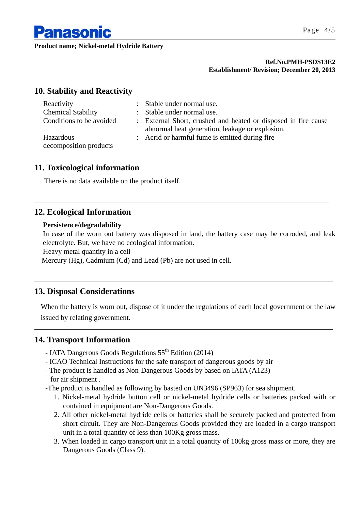

#### **Ref.No.PMH-PSDS13E2 Establishment/ Revision; December 20, 2013**

## **10. Stability and Reactivity**

| Reactivity                          | : Stable under normal use.                                                                                        |
|-------------------------------------|-------------------------------------------------------------------------------------------------------------------|
| <b>Chemical Stability</b>           | : Stable under normal use.                                                                                        |
| Conditions to be avoided            | : External Short, crushed and heated or disposed in fire cause<br>abnormal heat generation, leakage or explosion. |
| Hazardous<br>decomposition products | : Acrid or harmful fume is emitted during fire                                                                    |

## **11. Toxicological information**

There is no data available on the product itself.

## **12. Ecological Information**

#### **Persistence/degradability**

In case of the worn out battery was disposed in land, the battery case may be corroded, and leak electrolyte. But, we have no ecological information.

Heavy metal quantity in a cell

Mercury (Hg), Cadmium (Cd) and Lead (Pb) are not used in cell.

## **13. Disposal Considerations**

When the battery is worn out, dispose of it under the regulations of each local government or the law issued by relating government.

## **14. Transport Information**

- IATA Dangerous Goods Regulations  $55^{\text{th}}$  Edition (2014)
- ICAO Technical Instructions for the safe transport of dangerous goods by air
- The product is handled as Non-Dangerous Goods by based on IATA (A123) for air shipment .
- -The product is handled as following by basted on UN3496 (SP963) for sea shipment.
	- 1. Nickel-metal hydride button cell or nickel-metal hydride cells or batteries packed with or contained in equipment are Non-Dangerous Goods.
	- 2. All other nickel-metal hydride cells or batteries shall be securely packed and protected from short circuit. They are Non-Dangerous Goods provided they are loaded in a cargo transport unit in a total quantity of less than 100Kg gross mass.
	- 3. When loaded in cargo transport unit in a total quantity of 100kg gross mass or more, they are Dangerous Goods (Class 9).